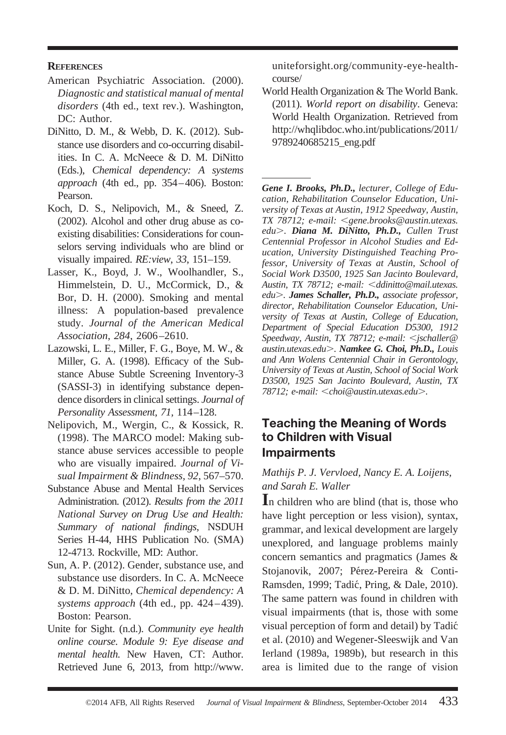### **REFERENCES**

- American Psychiatric Association. (2000). *Diagnostic and statistical manual of mental disorders* (4th ed., text rev.). Washington, DC: Author.
- DiNitto, D. M., & Webb, D. K. (2012). Substance use disorders and co-occurring disabilities. In C. A. McNeece & D. M. DiNitto (Eds.), *Chemical dependency: A systems approach* (4th ed., pp. 354 – 406). Boston: Pearson.
- Koch, D. S., Nelipovich, M., & Sneed, Z. (2002). Alcohol and other drug abuse as coexisting disabilities: Considerations for counselors serving individuals who are blind or visually impaired. *RE:view*, *33*, 151–159.
- Lasser, K., Boyd, J. W., Woolhandler, S., Himmelstein, D. U., McCormick, D., & Bor, D. H. (2000). Smoking and mental illness: A population-based prevalence study. *Journal of the American Medical Association*, *284*, 2606 –2610.
- Lazowski, L. E., Miller, F. G., Boye, M. W., & Miller, G. A. (1998). Efficacy of the Substance Abuse Subtle Screening Inventory-3 (SASSI-3) in identifying substance dependence disorders in clinical settings. *Journal of Personality Assessment, 71,* 114 –128.
- Nelipovich, M., Wergin, C., & Kossick, R. (1998). The MARCO model: Making substance abuse services accessible to people who are visually impaired. *Journal of Visual Impairment & Blindness, 92*, 567–570.
- Substance Abuse and Mental Health Services Administration. (2012). *Results from the 2011 National Survey on Drug Use and Health: Summary of national findings*, NSDUH Series H-44, HHS Publication No. (SMA) 12-4713. Rockville, MD: Author.
- Sun, A. P. (2012). Gender, substance use, and substance use disorders. In C. A. McNeece & D. M. DiNitto, *Chemical dependency: A systems approach* (4th ed., pp. 424 – 439). Boston: Pearson.
- Unite for Sight. (n.d.). *Community eye health online course. Module 9: Eye disease and mental health.* New Haven, CT: Author. Retrieved June 6, 2013, from [http://www.](http://www.uniteforsight.org/community-eye-health-course/)

[uniteforsight.org/community-eye-health](http://www.uniteforsight.org/community-eye-health-course/)[course/](http://www.uniteforsight.org/community-eye-health-course/)

World Health Organization & The World Bank. (2011). *World report on disability*. Geneva: World Health Organization. Retrieved from [http://whqlibdoc.who.int/publications/2011/](http://whqlibdoc.who.int/publications/2011/9789240685215_eng.pdf) [9789240685215\\_eng.pdf](http://whqlibdoc.who.int/publications/2011/9789240685215_eng.pdf)

*Gene I. Brooks, Ph.D., lecturer, College of Education, Rehabilitation Counselor Education, University of Texas at Austin, 1912 Speedway, Austin, TX 78712; e-mail: [gene.brooks@austin.utexas.](mailto:gene.brooks@austin.utexas.edu) [edu](mailto:gene.brooks@austin.utexas.edu). Diana M. DiNitto, Ph.D., Cullen Trust Centennial Professor in Alcohol Studies and Education, University Distinguished Teaching Professor, University of Texas at Austin, School of Social Work D3500, 1925 San Jacinto Boulevard, Austin, TX 78712; e-mail: [ddinitto@mail.utexas.](mailto:ddinitto@mail.utexas.edu) [edu](mailto:ddinitto@mail.utexas.edu). James Schaller, Ph.D., associate professor, director, Rehabilitation Counselor Education, University of Texas at Austin, College of Education, Department of Special Education D5300, 1912 Speedway, Austin, TX 78712; e-mail: [jschaller@](mailto:jschaller@austin.utexas.edu) [austin.utexas.edu](mailto:jschaller@austin.utexas.edu). Namkee G. Choi, Ph.D., Louis and Ann Wolens Centennial Chair in Gerontology, University of Texas at Austin, School of Social Work D3500, 1925 San Jacinto Boulevard, Austin, TX 78712; e-mail: [choi@austin.utexas.edu](mailto:choi@austin.utexas.edu).*

# **Teaching the Meaning of Words to Children with Visual Impairments**

## *Mathijs P. J. Vervloed, Nancy E. A. Loijens, and Sarah E. Waller*

**I**n children who are blind (that is, those who have light perception or less vision), syntax, grammar, and lexical development are largely unexplored, and language problems mainly concern semantics and pragmatics (James & Stojanovik, 2007; Pérez-Pereira & Conti-Ramsden, 1999; Tadić, Pring, & Dale, 2010). The same pattern was found in children with visual impairments (that is, those with some visual perception of form and detail) by Tadic´ et al. (2010) and Wegener-Sleeswijk and Van Ierland (1989a, 1989b), but research in this area is limited due to the range of vision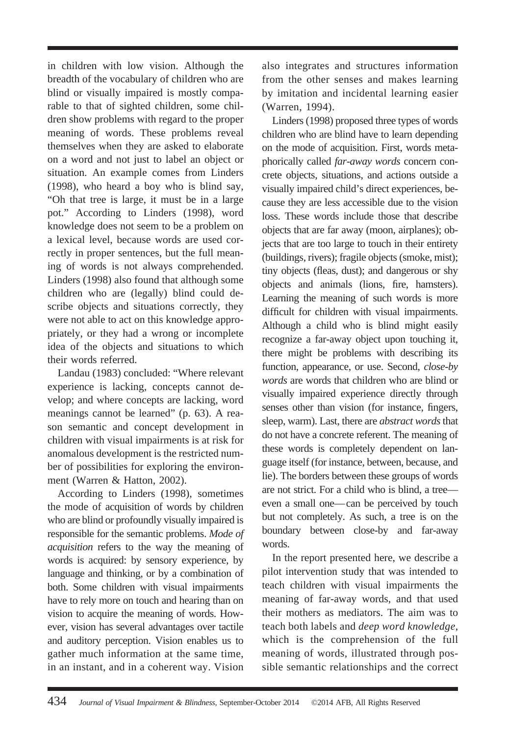in children with low vision. Although the breadth of the vocabulary of children who are blind or visually impaired is mostly comparable to that of sighted children, some children show problems with regard to the proper meaning of words. These problems reveal themselves when they are asked to elaborate on a word and not just to label an object or situation. An example comes from Linders (1998), who heard a boy who is blind say, "Oh that tree is large, it must be in a large pot." According to Linders (1998), word knowledge does not seem to be a problem on a lexical level, because words are used correctly in proper sentences, but the full meaning of words is not always comprehended. Linders (1998) also found that although some children who are (legally) blind could describe objects and situations correctly, they were not able to act on this knowledge appropriately, or they had a wrong or incomplete idea of the objects and situations to which their words referred.

Landau (1983) concluded: "Where relevant experience is lacking, concepts cannot develop; and where concepts are lacking, word meanings cannot be learned" (p. 63). A reason semantic and concept development in children with visual impairments is at risk for anomalous development is the restricted number of possibilities for exploring the environment (Warren & Hatton, 2002).

According to Linders (1998), sometimes the mode of acquisition of words by children who are blind or profoundly visually impaired is responsible for the semantic problems. *Mode of acquisition* refers to the way the meaning of words is acquired: by sensory experience, by language and thinking, or by a combination of both. Some children with visual impairments have to rely more on touch and hearing than on vision to acquire the meaning of words. However, vision has several advantages over tactile and auditory perception. Vision enables us to gather much information at the same time, in an instant, and in a coherent way. Vision

also integrates and structures information from the other senses and makes learning by imitation and incidental learning easier (Warren, 1994).

Linders (1998) proposed three types of words children who are blind have to learn depending on the mode of acquisition. First, words metaphorically called *far-away words* concern concrete objects, situations, and actions outside a visually impaired child's direct experiences, because they are less accessible due to the vision loss. These words include those that describe objects that are far away (moon, airplanes); objects that are too large to touch in their entirety (buildings, rivers); fragile objects (smoke, mist); tiny objects (fleas, dust); and dangerous or shy objects and animals (lions, fire, hamsters). Learning the meaning of such words is more difficult for children with visual impairments. Although a child who is blind might easily recognize a far-away object upon touching it, there might be problems with describing its function, appearance, or use. Second, *close-by words* are words that children who are blind or visually impaired experience directly through senses other than vision (for instance, fingers, sleep, warm). Last, there are *abstract words* that do not have a concrete referent. The meaning of these words is completely dependent on language itself (for instance, between, because, and lie). The borders between these groups of words are not strict. For a child who is blind, a tree even a small one—can be perceived by touch but not completely. As such, a tree is on the boundary between close-by and far-away words.

In the report presented here, we describe a pilot intervention study that was intended to teach children with visual impairments the meaning of far-away words, and that used their mothers as mediators. The aim was to teach both labels and *deep word knowledge*, which is the comprehension of the full meaning of words, illustrated through possible semantic relationships and the correct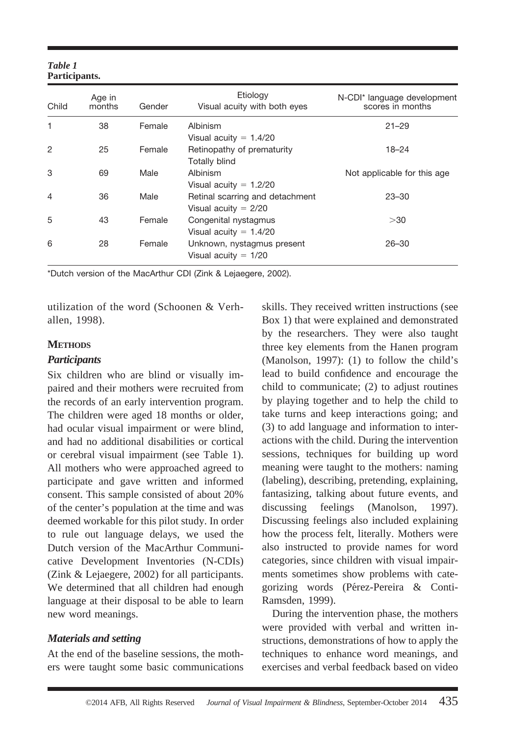### *Table 1* **Participants.**

| Child          | Age in<br>months | Gender | Etiology<br>Visual acuity with both eyes                  | N-CDI* language development<br>scores in months |
|----------------|------------------|--------|-----------------------------------------------------------|-------------------------------------------------|
| 1              | 38               | Female | Albinism<br>Visual acuity = $1.4/20$                      | $21 - 29$                                       |
| $\overline{2}$ | 25               | Female | Retinopathy of prematurity<br><b>Totally blind</b>        | $18 - 24$                                       |
| 3              | 69               | Male   | Albinism<br>Visual acuity = $1.2/20$                      | Not applicable for this age.                    |
| $\overline{4}$ | 36               | Male   | Retinal scarring and detachment<br>Visual acuity = $2/20$ | $23 - 30$                                       |
| 5              | 43               | Female | Congenital nystagmus<br>Visual acuity = $1.4/20$          | >30                                             |
| 6              | 28               | Female | Unknown, nystagmus present<br>Visual acuity = $1/20$      | $26 - 30$                                       |

\*Dutch version of the MacArthur CDI (Zink & Lejaegere, 2002).

utilization of the word (Schoonen & Verhallen, 1998).

## **METHODS**

### *Participants*

Six children who are blind or visually impaired and their mothers were recruited from the records of an early intervention program. The children were aged 18 months or older, had ocular visual impairment or were blind, and had no additional disabilities or cortical or cerebral visual impairment (see Table 1). All mothers who were approached agreed to participate and gave written and informed consent. This sample consisted of about 20% of the center's population at the time and was deemed workable for this pilot study. In order to rule out language delays, we used the Dutch version of the MacArthur Communicative Development Inventories (N-CDIs) (Zink & Lejaegere, 2002) for all participants. We determined that all children had enough language at their disposal to be able to learn new word meanings.

# *Materials and setting*

At the end of the baseline sessions, the mothers were taught some basic communications

skills. They received written instructions (see Box 1) that were explained and demonstrated by the researchers. They were also taught three key elements from the Hanen program (Manolson, 1997): (1) to follow the child's lead to build confidence and encourage the child to communicate; (2) to adjust routines by playing together and to help the child to take turns and keep interactions going; and (3) to add language and information to interactions with the child. During the intervention sessions, techniques for building up word meaning were taught to the mothers: naming (labeling), describing, pretending, explaining, fantasizing, talking about future events, and discussing feelings (Manolson, 1997). Discussing feelings also included explaining how the process felt, literally. Mothers were also instructed to provide names for word categories, since children with visual impairments sometimes show problems with categorizing words (Pérez-Pereira & Conti-Ramsden, 1999).

During the intervention phase, the mothers were provided with verbal and written instructions, demonstrations of how to apply the techniques to enhance word meanings, and exercises and verbal feedback based on video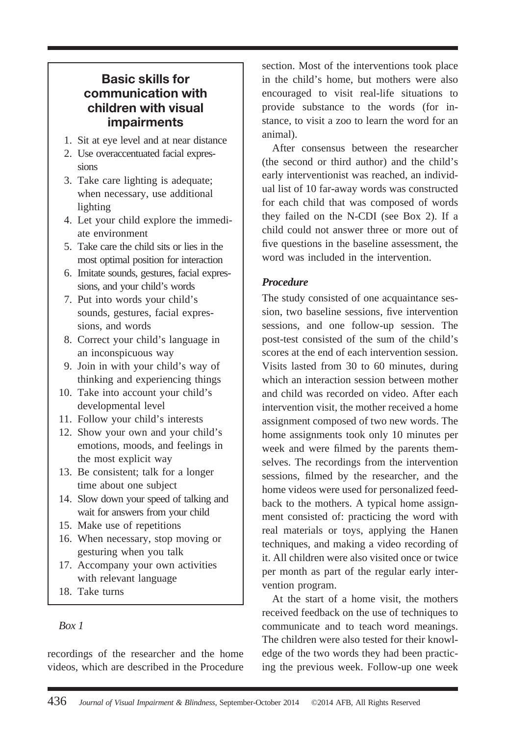# **Basic skills for communication with children with visual impairments**

- 1. Sit at eye level and at near distance
- 2. Use overaccentuated facial expressions
- 3. Take care lighting is adequate; when necessary, use additional lighting
- 4. Let your child explore the immediate environment
- 5. Take care the child sits or lies in the most optimal position for interaction
- 6. Imitate sounds, gestures, facial expressions, and your child's words
- 7. Put into words your child's sounds, gestures, facial expressions, and words
- 8. Correct your child's language in an inconspicuous way
- 9. Join in with your child's way of thinking and experiencing things
- 10. Take into account your child's developmental level
- 11. Follow your child's interests
- 12. Show your own and your child's emotions, moods, and feelings in the most explicit way
- 13. Be consistent; talk for a longer time about one subject
- 14. Slow down your speed of talking and wait for answers from your child
- 15. Make use of repetitions
- 16. When necessary, stop moving or gesturing when you talk
- 17. Accompany your own activities with relevant language
- 18. Take turns

# *Box 1*

recordings of the researcher and the home videos, which are described in the Procedure

section. Most of the interventions took place in the child's home, but mothers were also encouraged to visit real-life situations to provide substance to the words (for instance, to visit a zoo to learn the word for an animal).

After consensus between the researcher (the second or third author) and the child's early interventionist was reached, an individual list of 10 far-away words was constructed for each child that was composed of words they failed on the N-CDI (see Box 2). If a child could not answer three or more out of five questions in the baseline assessment, the word was included in the intervention.

# *Procedure*

The study consisted of one acquaintance session, two baseline sessions, five intervention sessions, and one follow-up session. The post-test consisted of the sum of the child's scores at the end of each intervention session. Visits lasted from 30 to 60 minutes, during which an interaction session between mother and child was recorded on video. After each intervention visit, the mother received a home assignment composed of two new words. The home assignments took only 10 minutes per week and were filmed by the parents themselves. The recordings from the intervention sessions, filmed by the researcher, and the home videos were used for personalized feedback to the mothers. A typical home assignment consisted of: practicing the word with real materials or toys, applying the Hanen techniques, and making a video recording of it. All children were also visited once or twice per month as part of the regular early intervention program.

At the start of a home visit, the mothers received feedback on the use of techniques to communicate and to teach word meanings. The children were also tested for their knowledge of the two words they had been practicing the previous week. Follow-up one week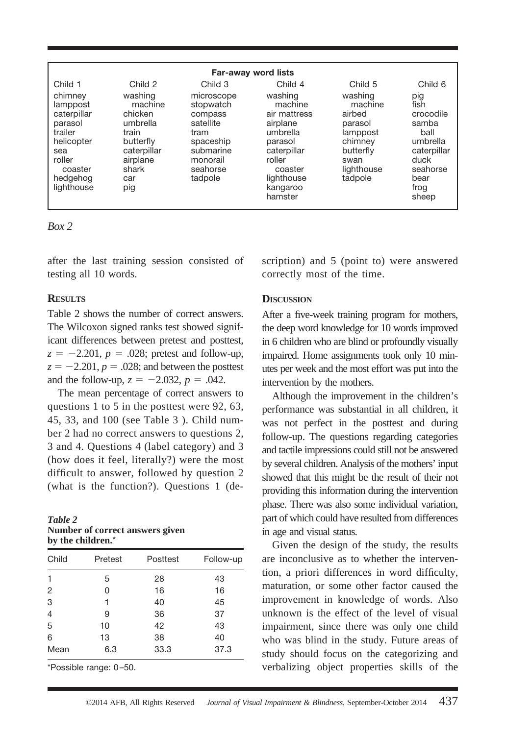| Far-away word lists                                                                                                       |                                                                                                                       |                                                                                                                                 |                                                                                                                                    |                                                                                                                         |                                                                                                             |  |  |  |
|---------------------------------------------------------------------------------------------------------------------------|-----------------------------------------------------------------------------------------------------------------------|---------------------------------------------------------------------------------------------------------------------------------|------------------------------------------------------------------------------------------------------------------------------------|-------------------------------------------------------------------------------------------------------------------------|-------------------------------------------------------------------------------------------------------------|--|--|--|
| Child 1<br>chimney<br>lamppost<br>caterpillar<br>parasol<br>trailer<br>helicopter<br>sea<br>roller<br>coaster<br>hedgehog | Child 2<br>washing<br>machine<br>chicken<br>umbrella<br>train<br>butterfly<br>caterpillar<br>airplane<br>shark<br>car | Child 3<br>microscope<br>stopwatch<br>compass<br>satellite<br>tram<br>spaceship<br>submarine<br>monorail<br>seahorse<br>tadpole | Child 4<br>washing<br>machine<br>air mattress<br>airplane<br>umbrella<br>parasol<br>caterpillar<br>roller<br>coaster<br>lighthouse | Child 5<br>washing<br>machine<br>airbed<br>parasol<br>lamppost<br>chimney<br>butterfly<br>swan<br>lighthouse<br>tadpole | Child 6<br>pig<br>fish<br>crocodile<br>samba<br>ball<br>umbrella<br>caterpillar<br>duck<br>seahorse<br>bear |  |  |  |
| lighthouse                                                                                                                | pig                                                                                                                   |                                                                                                                                 | kangaroo<br>hamster                                                                                                                |                                                                                                                         | frog<br>sheep                                                                                               |  |  |  |

#### *Box 2*

after the last training session consisted of testing all 10 words.

### **RESULTS**

Table 2 shows the number of correct answers. The Wilcoxon signed ranks test showed significant differences between pretest and posttest,  $z = -2.201, p = .028$ ; pretest and follow-up,  $z = -2.201, p = .028$ ; and between the posttest and the follow-up,  $z = -2.032$ ,  $p = .042$ .

The mean percentage of correct answers to questions 1 to 5 in the posttest were 92, 63, 45, 33, and 100 (see Table 3 ). Child number 2 had no correct answers to questions 2, 3 and 4. Questions 4 (label category) and 3 (how does it feel, literally?) were the most difficult to answer, followed by question 2 (what is the function?). Questions 1 (de-

*Table 2* **Number of correct answers given by the children.**\*

| Child          | Pretest | Posttest | Follow-up |  |  |
|----------------|---------|----------|-----------|--|--|
| 1              | 5       | 28       | 43        |  |  |
| 2              | 0       | 16       | 16        |  |  |
| 3              | 1       | 40       | 45        |  |  |
| $\overline{4}$ | 9       | 36       | 37        |  |  |
| 5              | 10      | 42       | 43        |  |  |
| 6              | 13      | 38       | 40        |  |  |
| Mean           | 6.3     | 33.3     | 37.3      |  |  |

\*Possible range: 0 –50.

scription) and 5 (point to) were answered correctly most of the time.

### **DISCUSSION**

After a five-week training program for mothers, the deep word knowledge for 10 words improved in 6 children who are blind or profoundly visually impaired. Home assignments took only 10 minutes per week and the most effort was put into the intervention by the mothers.

Although the improvement in the children's performance was substantial in all children, it was not perfect in the posttest and during follow-up. The questions regarding categories and tactile impressions could still not be answered by several children. Analysis of the mothers' input showed that this might be the result of their not providing this information during the intervention phase. There was also some individual variation, part of which could have resulted from differences in age and visual status.

Given the design of the study, the results are inconclusive as to whether the intervention, a priori differences in word difficulty, maturation, or some other factor caused the improvement in knowledge of words. Also unknown is the effect of the level of visual impairment, since there was only one child who was blind in the study. Future areas of study should focus on the categorizing and verbalizing object properties skills of the